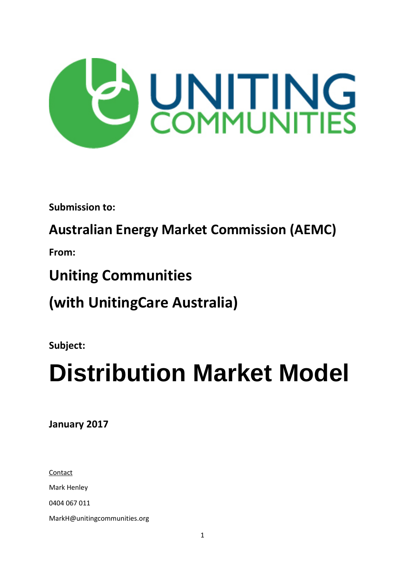

**Submission to:**

# **Australian Energy Market Commission (AEMC)**

**From:**

# **Uniting Communities**

**(with UnitingCare Australia)**

**Subject:** 

# **Distribution Market Model**

**January 2017**

**Contact** Mark Henley 0404 067 011 MarkH@unitingcommunities.org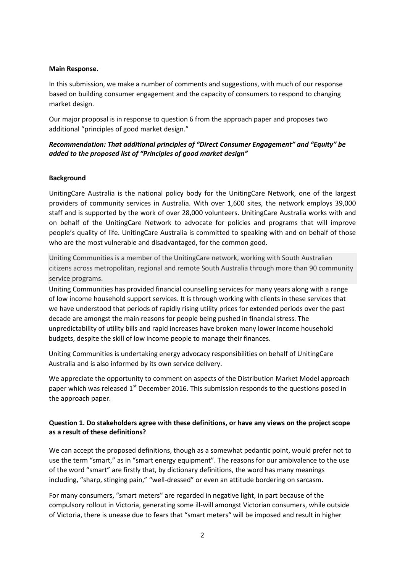#### **Main Response.**

In this submission, we make a number of comments and suggestions, with much of our response based on building consumer engagement and the capacity of consumers to respond to changing market design.

Our major proposal is in response to question 6 from the approach paper and proposes two additional "principles of good market design."

#### *Recommendation: That additional principles of "Direct Consumer Engagement" and "Equity" be added to the proposed list of "Principles of good market design"*

#### **Background**

UnitingCare Australia is the national policy body for the UnitingCare Network, one of the largest providers of community services in Australia. With over 1,600 sites, the network employs 39,000 staff and is supported by the work of over 28,000 volunteers. UnitingCare Australia works with and on behalf of the UnitingCare Network to advocate for policies and programs that will improve people's quality of life. UnitingCare Australia is committed to speaking with and on behalf of those who are the most vulnerable and disadvantaged, for the common good.

Uniting Communities is a member of the UnitingCare network, working with South Australian citizens across metropolitan, regional and remote South Australia through more than 90 community service programs.

Uniting Communities has provided financial counselling services for many years along with a range of low income household support services. It is through working with clients in these services that we have understood that periods of rapidly rising utility prices for extended periods over the past decade are amongst the main reasons for people being pushed in financial stress. The unpredictability of utility bills and rapid increases have broken many lower income household budgets, despite the skill of low income people to manage their finances.

Uniting Communities is undertaking energy advocacy responsibilities on behalf of UnitingCare Australia and is also informed by its own service delivery.

We appreciate the opportunity to comment on aspects of the Distribution Market Model approach paper which was released 1<sup>st</sup> December 2016. This submission responds to the questions posed in the approach paper.

#### **Question 1. Do stakeholders agree with these definitions, or have any views on the project scope as a result of these definitions?**

We can accept the proposed definitions, though as a somewhat pedantic point, would prefer not to use the term "smart," as in "smart energy equipment". The reasons for our ambivalence to the use of the word "smart" are firstly that, by dictionary definitions, the word has many meanings including, "sharp, stinging pain," "well-dressed" or even an attitude bordering on sarcasm.

For many consumers, "smart meters" are regarded in negative light, in part because of the compulsory rollout in Victoria, generating some ill-will amongst Victorian consumers, while outside of Victoria, there is unease due to fears that "smart meters" will be imposed and result in higher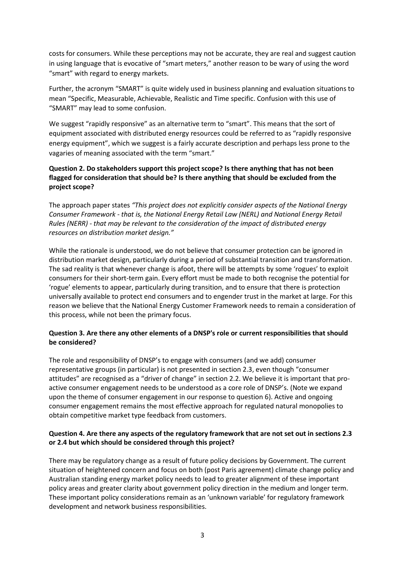costs for consumers. While these perceptions may not be accurate, they are real and suggest caution in using language that is evocative of "smart meters," another reason to be wary of using the word "smart" with regard to energy markets.

Further, the acronym "SMART" is quite widely used in business planning and evaluation situations to mean "Specific, Measurable, Achievable, Realistic and Time specific. Confusion with this use of "SMART" may lead to some confusion.

We suggest "rapidly responsive" as an alternative term to "smart". This means that the sort of equipment associated with distributed energy resources could be referred to as "rapidly responsive energy equipment", which we suggest is a fairly accurate description and perhaps less prone to the vagaries of meaning associated with the term "smart."

# **Question 2. Do stakeholders support this project scope? Is there anything that has not been flagged for consideration that should be? Is there anything that should be excluded from the project scope?**

The approach paper states *"This project does not explicitly consider aspects of the National Energy Consumer Framework - that is, the National Energy Retail Law (NERL) and National Energy Retail Rules (NERR) - that may be relevant to the consideration of the impact of distributed energy resources on distribution market design."*

While the rationale is understood, we do not believe that consumer protection can be ignored in distribution market design, particularly during a period of substantial transition and transformation. The sad reality is that whenever change is afoot, there will be attempts by some 'rogues' to exploit consumers for their short-term gain. Every effort must be made to both recognise the potential for 'rogue' elements to appear, particularly during transition, and to ensure that there is protection universally available to protect end consumers and to engender trust in the market at large. For this reason we believe that the National Energy Customer Framework needs to remain a consideration of this process, while not been the primary focus.

# **Question 3. Are there any other elements of a DNSP's role or current responsibilities that should be considered?**

The role and responsibility of DNSP's to engage with consumers (and we add) consumer representative groups (in particular) is not presented in section 2.3, even though "consumer attitudes" are recognised as a "driver of change" in section 2.2. We believe it is important that proactive consumer engagement needs to be understood as a core role of DNSP's. (Note we expand upon the theme of consumer engagement in our response to question 6). Active and ongoing consumer engagement remains the most effective approach for regulated natural monopolies to obtain competitive market type feedback from customers.

# **Question 4. Are there any aspects of the regulatory framework that are not set out in sections 2.3 or 2.4 but which should be considered through this project?**

There may be regulatory change as a result of future policy decisions by Government. The current situation of heightened concern and focus on both (post Paris agreement) climate change policy and Australian standing energy market policy needs to lead to greater alignment of these important policy areas and greater clarity about government policy direction in the medium and longer term. These important policy considerations remain as an 'unknown variable' for regulatory framework development and network business responsibilities.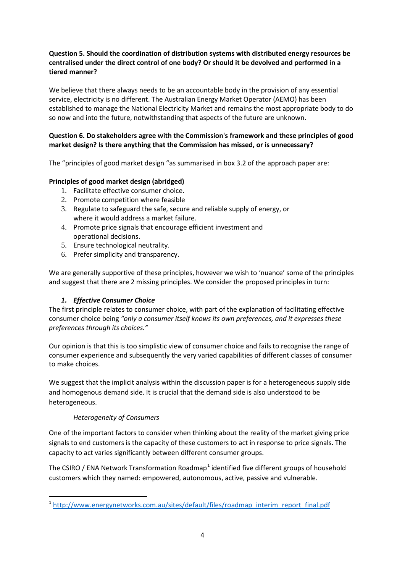# **Question 5. Should the coordination of distribution systems with distributed energy resources be centralised under the direct control of one body? Or should it be devolved and performed in a tiered manner?**

We believe that there always needs to be an accountable body in the provision of any essential service, electricity is no different. The Australian Energy Market Operator (AEMO) has been established to manage the National Electricity Market and remains the most appropriate body to do so now and into the future, notwithstanding that aspects of the future are unknown.

# **Question 6. Do stakeholders agree with the Commission's framework and these principles of good market design? Is there anything that the Commission has missed, or is unnecessary?**

The "principles of good market design "as summarised in box 3.2 of the approach paper are:

# **Principles of good market design (abridged)**

- 1. Facilitate effective consumer choice.
- 2. Promote competition where feasible
- 3. Regulate to safeguard the safe, secure and reliable supply of energy, or where it would address a market failure.
- 4. Promote price signals that encourage efficient investment and operational decisions.
- 5. Ensure technological neutrality.
- 6. Prefer simplicity and transparency.

We are generally supportive of these principles, however we wish to 'nuance' some of the principles and suggest that there are 2 missing principles. We consider the proposed principles in turn:

# *1. Effective Consumer Choice*

The first principle relates to consumer choice, with part of the explanation of facilitating effective consumer choice being *"only a consumer itself knows its own preferences, and it expresses these preferences through its choices."*

Our opinion is that this is too simplistic view of consumer choice and fails to recognise the range of consumer experience and subsequently the very varied capabilities of different classes of consumer to make choices.

We suggest that the implicit analysis within the discussion paper is for a heterogeneous supply side and homogenous demand side. It is crucial that the demand side is also understood to be heterogeneous.

# *Heterogeneity of Consumers*

One of the important factors to consider when thinking about the reality of the market giving price signals to end customers is the capacity of these customers to act in response to price signals. The capacity to act varies significantly between different consumer groups.

The CSIRO / ENA Network Transformation Roadmap<sup>[1](#page-3-0)</sup> identified five different groups of household customers which they named: empowered, autonomous, active, passive and vulnerable.

<span id="page-3-0"></span> <sup>1</sup> [http://www.energynetworks.com.au/sites/default/files/roadmap\\_interim\\_report\\_final.pdf](http://www.energynetworks.com.au/sites/default/files/roadmap_interim_report_final.pdf)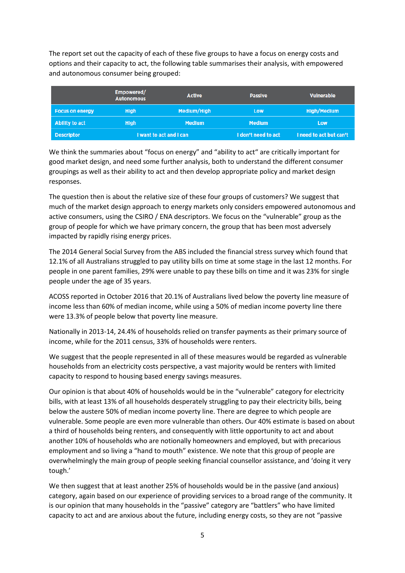The report set out the capacity of each of these five groups to have a focus on energy costs and options and their capacity to act, the following table summarises their analysis, with empowered and autonomous consumer being grouped:

|                        | Empowered/<br><b>Autonomous</b> | <b>Active</b> | <b>Passive</b>      | <b>Vulnerable</b>       |
|------------------------|---------------------------------|---------------|---------------------|-------------------------|
| <b>Focus on energy</b> | <b>High</b>                     | Medium/High   | Low                 | <b>High/Medium</b>      |
| Ability to act         | <b>High</b>                     | <b>Medium</b> | <b>Medium</b>       | Low                     |
| <b>Descriptor</b>      | I want to act and I can         |               | I don't need to act | I need to act but can't |

We think the summaries about "focus on energy" and "ability to act" are critically important for good market design, and need some further analysis, both to understand the different consumer groupings as well as their ability to act and then develop appropriate policy and market design responses.

The question then is about the relative size of these four groups of customers? We suggest that much of the market design approach to energy markets only considers empowered autonomous and active consumers, using the CSIRO / ENA descriptors. We focus on the "vulnerable" group as the group of people for which we have primary concern, the group that has been most adversely impacted by rapidly rising energy prices.

The 2014 General Social Survey from the ABS included the financial stress survey which found that 12.1% of all Australians struggled to pay utility bills on time at some stage in the last 12 months. For people in one parent families, 29% were unable to pay these bills on time and it was 23% for single people under the age of 35 years.

ACOSS reported in October 2016 that 20.1% of Australians lived below the poverty line measure of income less than 60% of median income, while using a 50% of median income poverty line there were 13.3% of people below that poverty line measure.

Nationally in 2013-14, 24.4% of households relied on transfer payments as their primary source of income, while for the 2011 census, 33% of households were renters.

We suggest that the people represented in all of these measures would be regarded as vulnerable households from an electricity costs perspective, a vast majority would be renters with limited capacity to respond to housing based energy savings measures.

Our opinion is that about 40% of households would be in the "vulnerable" category for electricity bills, with at least 13% of all households desperately struggling to pay their electricity bills, being below the austere 50% of median income poverty line. There are degree to which people are vulnerable. Some people are even more vulnerable than others. Our 40% estimate is based on about a third of households being renters, and consequently with little opportunity to act and about another 10% of households who are notionally homeowners and employed, but with precarious employment and so living a "hand to mouth" existence. We note that this group of people are overwhelmingly the main group of people seeking financial counsellor assistance, and 'doing it very tough.'

We then suggest that at least another 25% of households would be in the passive (and anxious) category, again based on our experience of providing services to a broad range of the community. It is our opinion that many households in the "passive" category are "battlers" who have limited capacity to act and are anxious about the future, including energy costs, so they are not "passive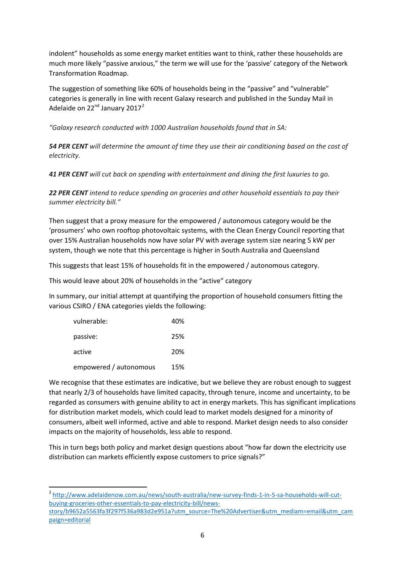indolent" households as some energy market entities want to think, rather these households are much more likely "passive anxious," the term we will use for the 'passive' category of the Network Transformation Roadmap.

The suggestion of something like 60% of households being in the "passive" and "vulnerable" categories is generally in line with recent Galaxy research and published in the Sunday Mail in Adelaide on  $22<sup>nd</sup>$  $22<sup>nd</sup>$  January 2017<sup>2</sup>

*"Galaxy research conducted with 1000 Australian households found that in SA:*

*54 PER CENT will determine the amount of time they use their air conditioning based on the cost of electricity.*

*41 PER CENT will cut back on spending with entertainment and dining the first luxuries to go.*

*22 PER CENT intend to reduce spending on groceries and other household essentials to pay their summer electricity bill."*

Then suggest that a proxy measure for the empowered / autonomous category would be the 'prosumers' who own rooftop photovoltaic systems, with the Clean Energy Council reporting that over 15% Australian households now have solar PV with average system size nearing 5 kW per system, though we note that this percentage is higher in South Australia and Queensland

This suggests that least 15% of households fit in the empowered / autonomous category.

This would leave about 20% of households in the "active" category

In summary, our initial attempt at quantifying the proportion of household consumers fitting the various CSIRO / ENA categories yields the following:

| vulnerable:            | 40% |
|------------------------|-----|
| passive:               | 25% |
| active                 | 20% |
| empowered / autonomous | 15% |

We recognise that these estimates are indicative, but we believe they are robust enough to suggest that nearly 2/3 of households have limited capacity, through tenure, income and uncertainty, to be regarded as consumers with genuine ability to act in energy markets. This has significant implications for distribution market models, which could lead to market models designed for a minority of consumers, albeit well informed, active and able to respond. Market design needs to also consider impacts on the majority of households, less able to respond.

This in turn begs both policy and market design questions about "how far down the electricity use distribution can markets efficiently expose customers to price signals?"

<span id="page-5-0"></span> <sup>2</sup> [http://www.adelaidenow.com.au/news/south-australia/new-survey-finds-1-in-5-sa-households-will-cut](http://www.adelaidenow.com.au/news/south-australia/new-survey-finds-1-in-5-sa-households-will-cut-buying-groceries-other-essentials-to-pay-electricity-bill/news-story/b9652a5563fa3f297f536a983d2e951a?utm_source=The%20Advertiser&utm_mediam=email&utm_campaign=editorial)[buying-groceries-other-essentials-to-pay-electricity-bill/news-](http://www.adelaidenow.com.au/news/south-australia/new-survey-finds-1-in-5-sa-households-will-cut-buying-groceries-other-essentials-to-pay-electricity-bill/news-story/b9652a5563fa3f297f536a983d2e951a?utm_source=The%20Advertiser&utm_mediam=email&utm_campaign=editorial)

[story/b9652a5563fa3f297f536a983d2e951a?utm\\_source=The%20Advertiser&utm\\_mediam=email&utm\\_cam](http://www.adelaidenow.com.au/news/south-australia/new-survey-finds-1-in-5-sa-households-will-cut-buying-groceries-other-essentials-to-pay-electricity-bill/news-story/b9652a5563fa3f297f536a983d2e951a?utm_source=The%20Advertiser&utm_mediam=email&utm_campaign=editorial) [paign=editorial](http://www.adelaidenow.com.au/news/south-australia/new-survey-finds-1-in-5-sa-households-will-cut-buying-groceries-other-essentials-to-pay-electricity-bill/news-story/b9652a5563fa3f297f536a983d2e951a?utm_source=The%20Advertiser&utm_mediam=email&utm_campaign=editorial)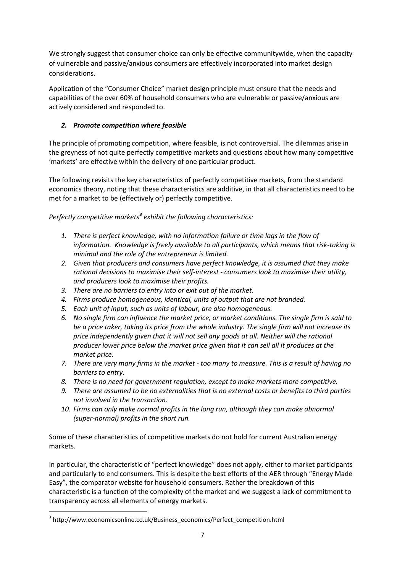We strongly suggest that consumer choice can only be effective communitywide, when the capacity of vulnerable and passive/anxious consumers are effectively incorporated into market design considerations.

Application of the "Consumer Choice" market design principle must ensure that the needs and capabilities of the over 60% of household consumers who are vulnerable or passive/anxious are actively considered and responded to.

# *2. Promote competition where feasible*

The principle of promoting competition, where feasible, is not controversial. The dilemmas arise in the greyness of not quite perfectly competitive markets and questions about how many competitive 'markets' are effective within the delivery of one particular product.

The following revisits the key characteristics of perfectly competitive markets, from the standard economics theory, noting that these characteristics are additive, in that all characteristics need to be met for a market to be (effectively or) perfectly competitive.

*Perfectly competitive markets[3](#page-6-0) exhibit the following characteristics:*

- *1. There is perfect knowledge, with no information failure or time lags in the flow of information. Knowledge is freely available to all participants, which means that risk-taking is minimal and the role of the entrepreneur is limited.*
- *2. Given that producers and consumers have perfect knowledge, it is assumed that they make rational decisions to maximise their self-interest - consumers look to maximise their utility, and producers look to maximise their profits.*
- *3. There are no barriers to entry into or exit out of the market.*
- *4. Firms produce homogeneous, identical, units of output that are not branded.*
- *5. Each unit of input, such as units of labour, are also homogeneous.*
- *6. No single firm can influence the market price, or market conditions. The single firm is said to be a price taker, taking its price from the whole industry. The single firm will not increase its price independently given that it will not sell any goods at all. Neither will the rational producer lower price below the market price given that it can sell all it produces at the market price.*
- *7. There are very many firms in the market - too many to measure. This is a result of having no barriers to entry.*
- *8. There is no need for government regulation, except to make markets more competitive.*
- *9. There are assumed to be no externalities that is no external costs or benefits to third parties not involved in the transaction.*
- *10. Firms can only make normal profits in the long run, although they can make abnormal (super-normal) profits in the short run.*

Some of these characteristics of competitive markets do not hold for current Australian energy markets.

In particular, the characteristic of "perfect knowledge" does not apply, either to market participants and particularly to end consumers. This is despite the best efforts of the AER through "Energy Made Easy", the comparator website for household consumers. Rather the breakdown of this characteristic is a function of the complexity of the market and we suggest a lack of commitment to transparency across all elements of energy markets.

<span id="page-6-0"></span><sup>&</sup>lt;sup>3</sup> http://www.economicsonline.co.uk/Business\_economics/Perfect\_competition.html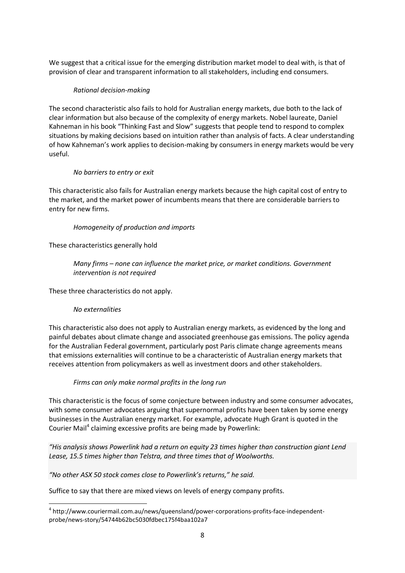We suggest that a critical issue for the emerging distribution market model to deal with, is that of provision of clear and transparent information to all stakeholders, including end consumers.

#### *Rational decision-making*

The second characteristic also fails to hold for Australian energy markets, due both to the lack of clear information but also because of the complexity of energy markets. Nobel laureate, Daniel Kahneman in his book "Thinking Fast and Slow" suggests that people tend to respond to complex situations by making decisions based on intuition rather than analysis of facts. A clear understanding of how Kahneman's work applies to decision-making by consumers in energy markets would be very useful.

#### *No barriers to entry or exit*

This characteristic also fails for Australian energy markets because the high capital cost of entry to the market, and the market power of incumbents means that there are considerable barriers to entry for new firms.

#### *Homogeneity of production and imports*

These characteristics generally hold

*Many firms – none can influence the market price, or market conditions. Government intervention is not required*

These three characteristics do not apply.

#### *No externalities*

This characteristic also does not apply to Australian energy markets, as evidenced by the long and painful debates about climate change and associated greenhouse gas emissions. The policy agenda for the Australian Federal government, particularly post Paris climate change agreements means that emissions externalities will continue to be a characteristic of Australian energy markets that receives attention from policymakers as well as investment doors and other stakeholders.

#### *Firms can only make normal profits in the long run*

This characteristic is the focus of some conjecture between industry and some consumer advocates, with some consumer advocates arguing that supernormal profits have been taken by some energy businesses in the Australian energy market. For example, advocate Hugh Grant is quoted in the Courier Mail<sup>[4](#page-7-0)</sup> claiming excessive profits are being made by Powerlink:

*"His analysis shows Powerlink had a return on equity 23 times higher than construction giant Lend Lease, 15.5 times higher than Telstra, and three times that of Woolworths.*

# *"No other ASX 50 stock comes close to Powerlink's returns," he said.*

Suffice to say that there are mixed views on levels of energy company profits.

<span id="page-7-0"></span><sup>&</sup>lt;sup>4</sup> http://www.couriermail.com.au/news/queensland/power-corporations-profits-face-independentprobe/news-story/54744b62bc5030fdbec175f4baa102a7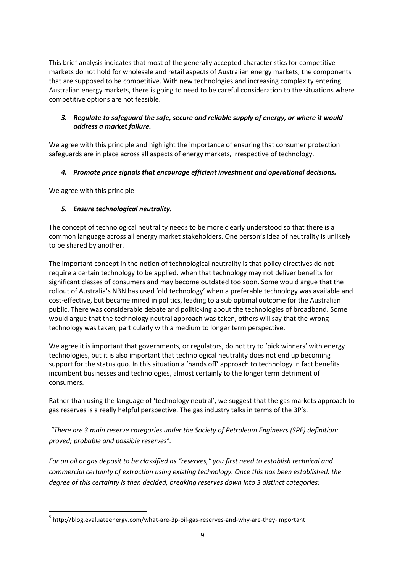This brief analysis indicates that most of the generally accepted characteristics for competitive markets do not hold for wholesale and retail aspects of Australian energy markets, the components that are supposed to be competitive. With new technologies and increasing complexity entering Australian energy markets, there is going to need to be careful consideration to the situations where competitive options are not feasible.

# *3. Regulate to safeguard the safe, secure and reliable supply of energy, or where it would address a market failure.*

We agree with this principle and highlight the importance of ensuring that consumer protection safeguards are in place across all aspects of energy markets, irrespective of technology.

# *4. Promote price signals that encourage efficient investment and operational decisions.*

We agree with this principle

# *5. Ensure technological neutrality.*

The concept of technological neutrality needs to be more clearly understood so that there is a common language across all energy market stakeholders. One person's idea of neutrality is unlikely to be shared by another.

The important concept in the notion of technological neutrality is that policy directives do not require a certain technology to be applied, when that technology may not deliver benefits for significant classes of consumers and may become outdated too soon. Some would argue that the rollout of Australia's NBN has used 'old technology' when a preferable technology was available and cost-effective, but became mired in politics, leading to a sub optimal outcome for the Australian public. There was considerable debate and politicking about the technologies of broadband. Some would argue that the technology neutral approach was taken, others will say that the wrong technology was taken, particularly with a medium to longer term perspective.

We agree it is important that governments, or regulators, do not try to 'pick winners' with energy technologies, but it is also important that technological neutrality does not end up becoming support for the status quo. In this situation a 'hands off' approach to technology in fact benefits incumbent businesses and technologies, almost certainly to the longer term detriment of consumers.

Rather than using the language of 'technology neutral', we suggest that the gas markets approach to gas reserves is a really helpful perspective. The gas industry talks in terms of the 3P's.

*"There are 3 main reserve categories under th[e Society of Petroleum Engineers \(](http://www.spe.org/index.php)SPE) definition: proved; probable and possible reserves[5](#page-8-0) .*

*For an oil or gas deposit to be classified as "reserves," you first need to establish technical and commercial certainty of extraction using existing technology. Once this has been established, the degree of this certainty is then decided, breaking reserves down into 3 distinct categories:*

<span id="page-8-0"></span> <sup>5</sup> http://blog.evaluateenergy.com/what-are-3p-oil-gas-reserves-and-why-are-they-important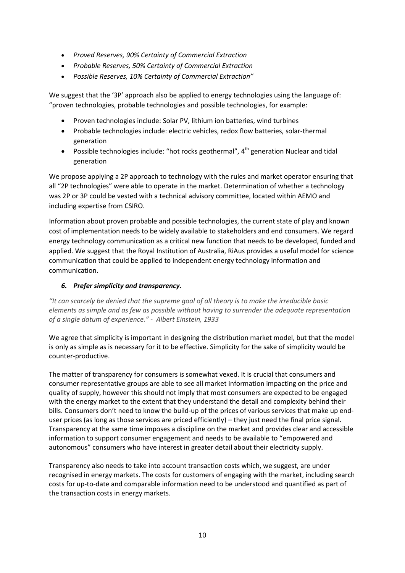- *Proved Reserves, 90% Certainty of Commercial Extraction*
- *Probable Reserves, 50% Certainty of Commercial Extraction*
- *Possible Reserves, 10% Certainty of Commercial Extraction"*

We suggest that the '3P' approach also be applied to energy technologies using the language of: "proven technologies, probable technologies and possible technologies, for example:

- Proven technologies include: Solar PV, lithium ion batteries, wind turbines
- Probable technologies include: electric vehicles, redox flow batteries, solar-thermal generation
- Possible technologies include: "hot rocks geothermal",  $4<sup>th</sup>$  generation Nuclear and tidal generation

We propose applying a 2P approach to technology with the rules and market operator ensuring that all "2P technologies" were able to operate in the market. Determination of whether a technology was 2P or 3P could be vested with a technical advisory committee, located within AEMO and including expertise from CSIRO.

Information about proven probable and possible technologies, the current state of play and known cost of implementation needs to be widely available to stakeholders and end consumers. We regard energy technology communication as a critical new function that needs to be developed, funded and applied. We suggest that the Royal Institution of Australia, RiAus provides a useful model for science communication that could be applied to independent energy technology information and communication.

# *6. Prefer simplicity and transparency.*

*"It can scarcely be denied that the supreme goal of all theory is to make the irreducible basic elements as simple and as few as possible without having to surrender the adequate representation of a single datum of experience." - Albert Einstein, 1933*

We agree that simplicity is important in designing the distribution market model, but that the model is only as simple as is necessary for it to be effective. Simplicity for the sake of simplicity would be counter-productive.

The matter of transparency for consumers is somewhat vexed. It is crucial that consumers and consumer representative groups are able to see all market information impacting on the price and quality of supply, however this should not imply that most consumers are expected to be engaged with the energy market to the extent that they understand the detail and complexity behind their bills. Consumers don't need to know the build-up of the prices of various services that make up enduser prices (as long as those services are priced efficiently) – they just need the final price signal. Transparency at the same time imposes a discipline on the market and provides clear and accessible information to support consumer engagement and needs to be available to "empowered and autonomous" consumers who have interest in greater detail about their electricity supply.

Transparency also needs to take into account transaction costs which, we suggest, are under recognised in energy markets. The costs for customers of engaging with the market, including search costs for up-to-date and comparable information need to be understood and quantified as part of the transaction costs in energy markets.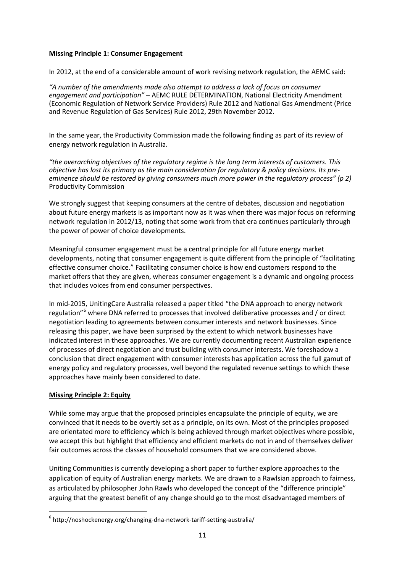#### **Missing Principle 1: Consumer Engagement**

In 2012, at the end of a considerable amount of work revising network regulation, the AEMC said:

*"A number of the amendments made also attempt to address a lack of focus on consumer engagement and participation"* – AEMC RULE DETERMINATION, National Electricity Amendment (Economic Regulation of Network Service Providers) Rule 2012 and National Gas Amendment (Price and Revenue Regulation of Gas Services) Rule 2012, 29th November 2012.

In the same year, the Productivity Commission made the following finding as part of its review of energy network regulation in Australia.

*"the overarching objectives of the regulatory regime is the long term interests of customers. This objective has lost its primacy as the main consideration for regulatory & policy decisions. Its preeminence should be restored by giving consumers much more power in the regulatory process" (p 2)*  Productivity Commission

We strongly suggest that keeping consumers at the centre of debates, discussion and negotiation about future energy markets is as important now as it was when there was major focus on reforming network regulation in 2012/13, noting that some work from that era continues particularly through the power of power of choice developments.

Meaningful consumer engagement must be a central principle for all future energy market developments, noting that consumer engagement is quite different from the principle of "facilitating effective consumer choice." Facilitating consumer choice is how end customers respond to the market offers that they are given, whereas consumer engagement is a dynamic and ongoing process that includes voices from end consumer perspectives.

In mid-2015, UnitingCare Australia released a paper titled "the DNA approach to energy network regulation"<sup>[6](#page-10-0)</sup> where DNA referred to processes that involved deliberative processes and / or direct negotiation leading to agreements between consumer interests and network businesses. Since releasing this paper, we have been surprised by the extent to which network businesses have indicated interest in these approaches. We are currently documenting recent Australian experience of processes of direct negotiation and trust building with consumer interests. We foreshadow a conclusion that direct engagement with consumer interests has application across the full gamut of energy policy and regulatory processes, well beyond the regulated revenue settings to which these approaches have mainly been considered to date.

# **Missing Principle 2: Equity**

While some may argue that the proposed principles encapsulate the principle of equity, we are convinced that it needs to be overtly set as a principle, on its own. Most of the principles proposed are orientated more to efficiency which is being achieved through market objectives where possible, we accept this but highlight that efficiency and efficient markets do not in and of themselves deliver fair outcomes across the classes of household consumers that we are considered above.

Uniting Communities is currently developing a short paper to further explore approaches to the application of equity of Australian energy markets. We are drawn to a Rawlsian approach to fairness, as articulated by philosopher John Rawls who developed the concept of the "difference principle" arguing that the greatest benefit of any change should go to the most disadvantaged members of

<span id="page-10-0"></span> $6$  http://noshockenergy.org/changing-dna-network-tariff-setting-australia/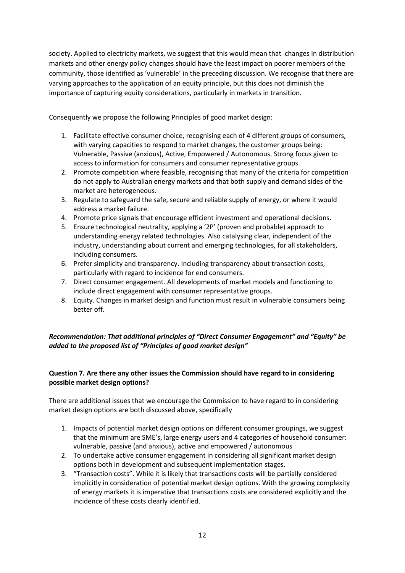society. Applied to electricity markets, we suggest that this would mean that changes in distribution markets and other energy policy changes should have the least impact on poorer members of the community, those identified as 'vulnerable' in the preceding discussion. We recognise that there are varying approaches to the application of an equity principle, but this does not diminish the importance of capturing equity considerations, particularly in markets in transition.

Consequently we propose the following Principles of good market design:

- 1. Facilitate effective consumer choice, recognising each of 4 different groups of consumers, with varying capacities to respond to market changes, the customer groups being: Vulnerable, Passive (anxious), Active, Empowered / Autonomous. Strong focus given to access to information for consumers and consumer representative groups.
- 2. Promote competition where feasible, recognising that many of the criteria for competition do not apply to Australian energy markets and that both supply and demand sides of the market are heterogeneous.
- 3. Regulate to safeguard the safe, secure and reliable supply of energy, or where it would address a market failure.
- 4. Promote price signals that encourage efficient investment and operational decisions.
- 5. Ensure technological neutrality, applying a '2P' (proven and probable) approach to understanding energy related technologies. Also catalysing clear, independent of the industry, understanding about current and emerging technologies, for all stakeholders, including consumers.
- 6. Prefer simplicity and transparency. Including transparency about transaction costs, particularly with regard to incidence for end consumers.
- 7. Direct consumer engagement. All developments of market models and functioning to include direct engagement with consumer representative groups.
- 8. Equity. Changes in market design and function must result in vulnerable consumers being better off.

# *Recommendation: That additional principles of "Direct Consumer Engagement" and "Equity" be added to the proposed list of "Principles of good market design"*

# **Question 7. Are there any other issues the Commission should have regard to in considering possible market design options?**

There are additional issues that we encourage the Commission to have regard to in considering market design options are both discussed above, specifically

- 1. Impacts of potential market design options on different consumer groupings, we suggest that the minimum are SME's, large energy users and 4 categories of household consumer: vulnerable, passive (and anxious), active and empowered / autonomous
- 2. To undertake active consumer engagement in considering all significant market design options both in development and subsequent implementation stages.
- 3. "Transaction costs". While it is likely that transactions costs will be partially considered implicitly in consideration of potential market design options. With the growing complexity of energy markets it is imperative that transactions costs are considered explicitly and the incidence of these costs clearly identified.